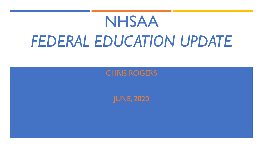# NHSAA *FEDERAL EDUCATION UPDATE*

CHRIS ROGERS

JUNE, 2020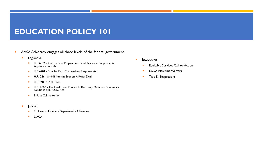#### **EDUCATION POLICY 101**

- **EXTERGE A** Advocacy engages all three levels of the federal government
	- **E** Legislative
		- ¡ H.R.6074 Coronavirus Preparedness and Response Supplemental Appropriations Act
		- **E** H.R.6201 Families First Coronavirus Response Act
		- **E** H.R. 266 \$484B Interim Economic Relief Deal
		- **E** H.R.748 CARES Act
		- ¡ H.R. 6800 The Health and Economic Recovery Omnibus Emergency Solutions (HEROES) Act
		- E-Rate Call-to-Action
	- Judicial
		- **Expinoza v. Montana Department of Revenue**
		- **DACA**
- Executive
	- **Equitable Services Call-to-Action**
	- **USDA Mealtime Waivers**
	- **Title IX Regulations**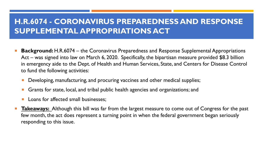#### **H.R.6074 - CORONAVIRUS PREPAREDNESS AND RESPONSE SUPPLEMENTAL APPROPRIATIONS ACT**

- **Background:** H.R.6074 the Coronavirus Preparedness and Response Supplemental Appropriations Act – was signed into law on March 6, 2020. Specifically, the bipartisan measure provided \$8.3 billion in emergency aide to the Dept. of Health and Human Services, State, and Centers for Disease Control to fund the following activities:
	- Developing, manufacturing, and procuring vaccines and other medical supplies;
	- Grants for state, local, and tribal public health agencies and organizations; and
	- Loans for affected small businesses:
- **Takeaways:** Although this bill was far from the largest measure to come out of Congress for the past few month, the act does represent a turning point in when the federal government began seriously responding to this issue.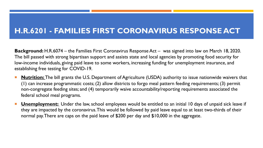#### **H.R.6201 - FAMILIES FIRST CORONAVIRUS RESPONSE ACT**

**Background:** H.R.6074 – the Families First Coronavirus Response Act – was signed into law on March 18, 2020. The bill passed with strong bipartisan support and assists state and local agencies by promoting food security for low-income individuals, giving paid leave to some workers, increasing funding for unemployment insurance, and establishing free testing for COVID-19.

- **Nutrition:** The bill grants the U.S. Department of Agriculture (USDA) authority to issue nationwide waivers that (1) can increase programmatic costs; (2) allow districts to forgo meal pattern feeding requirements; (3) permit non-congregate feeding sites; and (4) temporarily waive accountability/reporting requirements associated the federal school meal programs.
- **Unemployment:** Under the law, school employees would be entitled to an initial 10 days of unpaid sick leave if they are impacted by the coronavirus. This would be followed by paid leave equal to at least two-thirds of their normal pay. There are caps on the paid leave of \$200 per day and \$10,000 in the aggregate.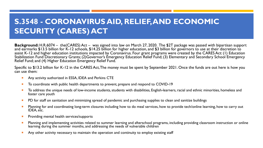#### **S.3548 - CORONAVIRUS AID, RELIEF, AND ECONOMIC SECURITY (CARES) ACT**

**Background:** H.R.6074 – the(CARES) Act – was signed into law on March 27, 2020. The \$2T package was passed with bipartisan support and earmarks \$13.5 billion for K-12 schools, \$14.25 billion for higher education, and \$3 billion for governors to use at their discretion to assist K-12 and higher education institutions impacted by Coronavirus. Four grant programs were created by the CARES Act: (1) Education Stabilization Fund Discretionary Grants; (2)Governor's Emergency Education Relief Fund; (3) Elementary and Secondary School Emergency Relief Fund; and (4) Higher Education Emergency Relief Fund.

Specific to \$13.2 billion for K-12 in the CARES Act, The money must be spent by September 2021. Once the funds are out here is how you can use them:

- **E** Any activity authorized in ESSA, IDEA and Perkins CTE
- To coordinate with public health departments to prevent, prepare and respond to COVID-19
- To address the unique needs of low-income students, students with disabilities, English-learners, racial and ethnic minorities, homeless and foster care youth
- **PD** for staff on sanitation and minimizing spread of pandemic and purchasing supplies to clean and sanitize buildings
- Planning for and coordinating long-term closures including how to do meal services, how to provide tech/online learning, how to carry out IDEA, etc.
- Providing mental health services/supports
- Planning and implementing activities related to summer learning and afterschool programs, including providing classroom instruction or online learning during the summer months, and addressing the needs of vulnerable children
- Any other activity necessary to maintain the operation and continuity to employ existing staff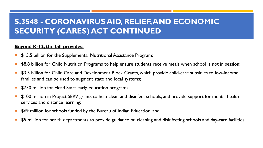#### **S.3548 - CORONAVIRUS AID, RELIEF, AND ECONOMIC SECURITY (CARES) ACT CONTINUED**

#### **Beyond K-12, the bill provides:**

- \$15.5 billion for the Supplemental Nutritional Assistance Program;
- \$8.8 billion for Child Nutrition Programs to help ensure students receive meals when school is not in session;
- \$3.5 billion for Child Care and Development Block Grants, which provide child-care subsidies to low-income families and can be used to augment state and local systems;
- **\$750 million for Head Start early-education programs;**
- \$100 million in Project SERV grants to help clean and disinfect schools, and provide support for mental health services and distance learning;
- \$69 million for schools funded by the Bureau of Indian Education; and
- \$5 million for health departments to provide guidance on cleaning and disinfecting schools and day-care facilities.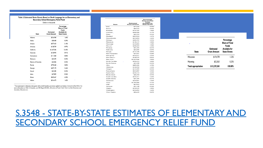#### Table 3. Estimated State Grants Based on Draft Language for an Elementary and Secondary School Emergency Relief Fund

| Dollars in thousands |                                         |                                                                                             |  |  |
|----------------------|-----------------------------------------|---------------------------------------------------------------------------------------------|--|--|
| <b>State</b>         | <b>Estimated</b><br><b>Grant Amount</b> | Percentage<br><b>Share of Total</b><br><b>Funds</b><br>Available for<br><b>State Grants</b> |  |  |
| Alahama              | \$216,948                               | 1.64%                                                                                       |  |  |
| Alaska               | \$38,408                                | 0.29%                                                                                       |  |  |
| Arizona              | \$277,423                               | 2.10%                                                                                       |  |  |
| Arkansas             | \$128,759                               | 0.97%                                                                                       |  |  |
| California           | \$1,647,306                             | 12.45%                                                                                      |  |  |
| Colorado             | \$120,994                               | 0.91%                                                                                       |  |  |
| Connecticut          | \$111,068                               | 0.84%                                                                                       |  |  |
| Delaware             | \$43.493                                | 0.33%                                                                                       |  |  |
| District of Columbia | \$42,006                                | 0.32%                                                                                       |  |  |
| Florida              | \$770,248.                              | 5.82%                                                                                       |  |  |
| Georgia              | \$457,170                               | 3.46%                                                                                       |  |  |
| Hawaii               | \$43,385                                | 0.33%                                                                                       |  |  |
| Idaho                | \$47,855                                | 0.36%                                                                                       |  |  |
| Illinois             | \$569,467                               | 4.30%                                                                                       |  |  |
| Indiana              | \$214,473                               | 1.62%                                                                                       |  |  |

 $^5$  The requirement to determine state grants with no hold harmless provisions applied is in Section 1122(c)(3) of the ESEA. For more information on Title I-A formulas, see CRS Report R44461, Allocation of Funds Under Ti Secondary Education Act.

| lowa<br>Kansas      | \$71.626<br>\$84,529 | 0.54% |
|---------------------|----------------------|-------|
|                     |                      |       |
|                     |                      | 0.64% |
| Kentucky            | \$193,187            | 1.46% |
| Louisiana.          | \$286,980            | 2.17% |
| Maine               | \$43,793             | 0.33% |
| Maryland            | \$207,834            | 1.57% |
| Massachusetts       | \$214.894            | 1.62% |
| Michigan            | \$389,797            | 2.95% |
| Minnesota           | \$140, 137           | 1.06% |
| Mississippi         | \$169,883            | 1.28% |
| Missouri            | \$208,443            | 1.58% |
| Montana             | \$41,295             | 0.31% |
| Nebraska            | \$65,085             | 0.49% |
| Nevada              | \$117,185            | 0.89% |
| New Hampshire       | \$37,641             | 0.28% |
| New Jersey          | \$310,371            | 2.35% |
| New Mexico          | \$108,575            | 0.82% |
| New York            | \$1,037,046          | 7.84% |
| North Carolina      | \$396,312            | 3.00% |
| North Dakota        | \$33,298             | 0.25% |
| Ohio                | \$489,205            | 3.70% |
| Oklahoma            | \$160,950            | 1.22% |
| Oregon              | \$121,099            | 0.92% |
| Pennsylvania        | \$523,807            | 3.96% |
| <b>Puerto Rico</b>  | \$349,113            | 2.64% |
| <b>Rhode Island</b> | \$46,350             | 0.35% |
| South Carolina      | \$216,311            | 1.64% |
| South Dakota        | \$41,295             | 0.31% |
| Tennessee           | \$259,891            | 1.96% |
| Texas               | \$1,285,886          | 9.72% |
| Utah                | \$67,822             | 0.51% |
| Vermont             | \$31,148             | 0.24% |
| Virginia            | \$238,599            | 1.80% |
| Washington          | \$216,892            | 1.64% |

# S.3548 - STATE-BY-STATE ESTIMATES OF SECONDARY SCHOOL EMERGENCY R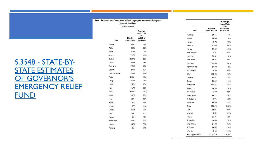Table 2. Estimated State Grants Based on Draft Language for a Governor's Emergency **Education Relief Fund** 

Dollars in thousands

S.3548 - STATE-BY-STATE ESTIMATES OF GOVERNOR'S EMERGENCY RELIEF **FUND** 

| <b>Estimated</b><br><b>Grant Amount</b> | Percentage<br><b>Share of Total</b><br><b>Funds</b><br><b>Available for</b><br><b>State Grants</b> |  |
|-----------------------------------------|----------------------------------------------------------------------------------------------------|--|
| \$48,907                                | 1.66%                                                                                              |  |
| \$6,376                                 | 0.22%                                                                                              |  |
| \$69,248                                | 2.34%                                                                                              |  |
| \$30,722                                | 1.04%                                                                                              |  |
| \$354,923                               | 12.02%                                                                                             |  |
| \$43,904                                | 1.49%                                                                                              |  |
| \$27,927                                | 0.95%                                                                                              |  |
| \$7,920                                 | 0.27%                                                                                              |  |
| \$5,808                                 | 0.20%                                                                                              |  |
| \$173,674                               | 5.88%                                                                                              |  |
| \$105,448                               | 3.57%                                                                                              |  |
| \$9,704                                 | 0.33%                                                                                              |  |
| \$15,709                                | 0.53%                                                                                              |  |
| \$108,521                               | 3.67%                                                                                              |  |
| \$61,782                                | 2.09%                                                                                              |  |
| \$26,304                                | 0.89%                                                                                              |  |
| \$26,181                                | 0.89%                                                                                              |  |
| \$43,795                                | 1.48%                                                                                              |  |
| \$50,305                                | 1.70%                                                                                              |  |
| \$9,301                                 | 0.31%                                                                                              |  |
| \$45,681                                | 1.55%                                                                                              |  |
| \$51,011                                | 1.73%                                                                                              |  |
| \$89,700                                | 3.04%                                                                                              |  |
| \$43,581                                | 1.48%                                                                                              |  |
|                                         |                                                                                                    |  |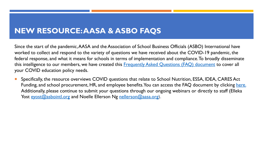#### **NE[W RESOURC](http://asbointl.org)E: AASA & [ASBO FAQS](http://aasa.org)**

Since the start of the pandemic, AASA and the Association of School Business worked to collect and respond to the variety of questions we have received a federal response, and what it means for schools in terms of implementation and compliance. To broadly discrementation this intelligence to our members, we have created this Frequently Asked Que your COVID education policy needs.

Specifically, the resource overviews COVID questions that relate to School Funding, and school procurement, HR, and employee benefits. You can acce Additionally, please continue to submit your questions through our ongoing Yost eyost@asbointl.org and Noelle Ellerson Ng nellerson@aasa.org).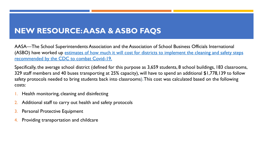#### **NEW RESOURCE: AASA & ASBO FAQS**

AASA—The School Superintendents Association and the Association of Scho (ASBO) have worked up estimates of how much it will cost for districts to in recommended by the CDC to combat Covid-19.

Specifically, the average school district (defined for this purpose as 3,659 stud 329 staff members and 40 buses transporting at 25% capacity), will have to sp safety protocols needed to bring students back into classrooms). This cost was costs:

- **1.** Health monitoring, cleaning and disinfecting
- 2. Additional staff to carry out health and safety protocols
- 3. Personal Protective Equipment
- 4. Providing transportation and childcare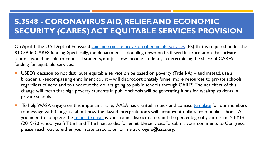#### **S.3548 - CORONAVIRUS AID, RELIEF, ANI SECURITY (CARES) ACT EQUITABLE SE**

On April 1, the U.S. Dept. of E[d issued guidan](https://aasa.org/uploadedFiles/AASA_Blog(1)/Equitable%2520Services%2520ADVOCACY%2520TEMPLATE.docx)ce on the provision of equitable \$13.5B in CARES funding. Specifically, the department is doubling down on its schools would be able to count all students, not just low-income students, in funding for equitable services.

- USED's decision to not distribute equitable service on be based on pover broader, all-encompassing enrollment count – will disproportionately funn regardless of need and to undercut the dollars going to public schools thr change will mean that high poverty students in public schools will be gene private schools
- To help WASA engage on this important issue, AASA has created a quick to message with Congress about how the flawed interpretation's will circu you need to complete the template email is your name, district name, and (2019-20 school year) Title I and Title II set asides for equitable services. T please reach out to either your state association, or me at crogers@aasa.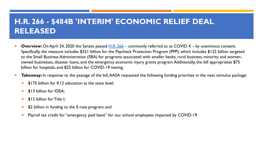#### **H.R. 266 - \$484B 'INTERIM' ECONOMIC R RELEASED**

- **Overview:** On April 24, 2020 the Senate passed **H.R. 266** commonly referred to Specifically, the measure includes \$321 billion for the Paycheck Protection Program to the Small Business Administration (SBA) for programs associated with smaller b owned businesses, disaster loans, and the emergency economic injury grants program. billion for hospitals, and \$25 billion for COVID-19 testing.
- **Takeaway:** In response to the passage of the bill, AASA requested the following funding priorities in the next stimulus parameters  $\overline{\phantom{a}}$ 
	- \$175 billion for K12 education at the state level:
	- \$13 billion for IDEA;
	- **SI2 billion for Title I:**
	- \$2 billion in funding to the E-rate program; and
	- Payroll tax credit for "emergency paid leave" for our school employees impacte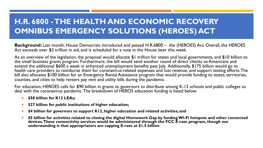**Background:** Last month, House Democrats introduced and passed H.R.6800 – the (HEROES) Act. Overall, the HEROES Act exceeds over \$3 trillion in aid, and is scheduled for a vote in the House later this week.

As an overview of the legislation, the proposal would allocate \$1 trillion for states and local governments, and \$10 billion to the small business grants program. Furthermore, the bill would send another round of direct checks to Americans and extend the additional \$600 a week in enhanced unemployment benefits past July. Additionally, \$175 billion would go to health care providers to reimburse them for coronavirus-related expenses and lost revenue, and support testing efforts. The bill also allocates \$100 billion for an Emergency Rental Assistance program that would provide funding to states, territories, counties, and cities to help renters pay rent and utility bills during the pandemic.

For education, HEROES calls for \$90 billion in grants to governors to distribute among K-12 schools and public colleges to deal with the coronavirus pandemic. The breakdown of HEROS education funding is listed below:

- ¡ **\$58 billion for K12 LEAs;**
- ¡ **\$27 billion for public institutions of higher education;**
- ¡ **\$4 billion for governors to support K12, higher education and related activities; and**
- ¡ **\$5 billion for activities related to closing the digital Homework Gap by funding Wi-Fi hotspots and other connected devices. These connectivity services would be administered through the FCC E-rate program, though our understanding is that appropriators are capping E-rate at \$1.5 billion**.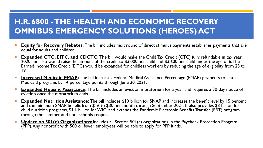- **Equity for Recovery Rebates:** The bill includes next round of direct stimulus payments establishes payments that are equal for adults and children.
- **Expanded CTC, EITC, and CDCTC:** The bill would make the Child Tax Credit (CTC) fully refundable in tax year 2020 and also would raise the amount of the credit to \$3,000 per child and \$3,600 per child under the age of 6. The Earned Income Tax Credit (EITC) would be expanded for childless workers by reducing the age of eligibility from 25 to 19
- **<u><b>Increased Medicaid FMAP:**</u> The bill increases Federal Medical Assistance Percentage (FMAP) payments to state Medicaid programs by 14 percentage points through June 30, 2021.
- **Expanded Housing Assistance:** The bill includes an eviction moratorium for a year and requires a 30-day notice of eviction once the moratorium ends.
- **Expanded Nutrition Assistance:** The bill includes \$10 billion for SNAP and increases the benefit level by 15 percent and the minimum SNAP benefit from \$16 to \$30 per month through September 2021. It also provides \$3 billion for child nutrition programs, \$1.1 billion for WIC, and extends the Pandemic Electronic Benefits Transfer (EBT) program through the summer and until schools reopen.
- ¡ **Update on 501(c) Organizations:** includes all Section 501(c) organizations in the Paycheck Protection Program (PPP). Any nonprofit with 500 or fewer employees will be able to apply for PPP funds.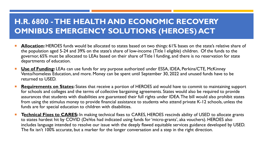- **Allocation:** HEROES funds would be allocated to states based on two things: 61% bases on the state's relative share of the population aged 5-24 and 39% on the state's share of low-income (Title I eligible) children. Of the funds to the governor, 65% must be allocated to LEAs based on their share of Title I funding, and there is no reservation for state departments of education.
- **Use of Funding:** LEAs can use funds for any purpose authorized under ESSA, IDEA, Perkins/CTE, McKinney Vento/homeless Education, and more. Money can be spent until September 30, 2022 and unused funds have to be returned to USED.
- Requirements on States: States that receive a portion of HEROES aid would have to commit to maintaining support for schools and colleges and the terms of collective bargaining agreements. States would also be required to provide assurances that students with disabilities are guaranteed their full rights under IDEA. The bill would also prohibit states from using the stimulus money to provide financial assistance to students who attend private K-12 schools, unless the funds are for special education to children with disabilities.
- **Technical Fixes to CARES:** In making technical fixes to CARES, HEROES rescinds ability of USED to allocate grants to states hardest hit by COVID (DeVos had indicated using funds for 'micro-grants', aka vouchers). HEROES also includes language intended to resolve our issue with the deeply flawed equitable services guidance developed by USED. The fix isn't 100% accurate, but a marker for the longer conversation and a step in the right direction.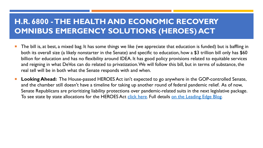#### **H.R. 6800 - THE HEALTH AND ECONOMI OMNIBUS EMERGENCY SOL[UTION](http://send.aasa.org/link.cfm%3Fr=tdjrmq2o5pZ4xhogyOZ2JA~~&pe=hIITQur3zCPbGY-57U5Hce47wIJdJxq4TLdPmzYBEHS2NOnZeG1OtZY04_MMA8Vemh_sG51txczGHVYmw_QnLA~~&t=WeJPaCYgHZVjolyWGIqNJg~~)S (H**

- The bill is, at best, a mixed bag. It has some things we like (we appreciate to both its overall size (a likely nonstarter in the Senate) and specific to educ billion for education and has no flexibility around IDEA. It has good policy and reigning in what DeVos can do related to privatization. We will follow real tell will be in both what the Senate responds with and when.
- Looking Ahead: The House-passed HEROES Act isn't expected to go a and the chamber still doesn't have a timeline for taking up another round Senate Republicans are prioritizing liability protections over pandemic-relative suits in the next legislative To see state by state allocations for the HEROES Act click here. Full detail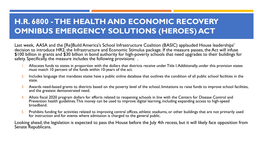Last week, AASA and the [Re]Build America's School Infrastructure Coalition (BASIC) applauded House leaderships' decision to introduce HR2, the Infrastructure and Economic Stimulus package. If the measure passes, the Act will infuse \$100 billion in grants and \$30 billion in bond authority for high-poverty schools that need upgrades to their buildings for safety. Specifically, the measure includes the following provisions: .

- 1. Allocates funds to states in proportion with the dollars that districts receive under Title I. Additionally, under this provision states must match 10 percent of the funds within 10-years of the act.
- 2. Includes language that mandates states have a public online database that outlines the condition of all public school facilities in the state.
- 3. Awards need-based grants to districts based on the poverty level of the school, limitations to raise funds to improve school facilities, and the greatest demonstrated need.
- 4. Allots fiscal 2020 program dollars for efforts related to reopening schools in line with the Centers for Disease Control and Prevention health guidelines. This money can be used to improve digital learning, including expanding access to high-speed broadband.
- 5. Prohibits funding for activities related to improving central offices, athletic stadiums, or other buildings that are not primarily used for instruction and for events where admission is charged to the general public.

Looking ahead, the legislation is expected to pass the House before the July 4th recess, but it will likely face opposition from Senate Republicans.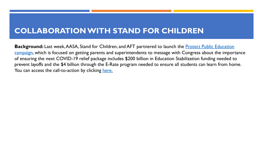#### **COLLABORATION WITH STAND FOR C**

**Background:** Last week, AASA, Stand for Children, and AFT partnered to launch the Public Equation campaign, which is focused on getting parents and superintendents to message of ensuring the next COVID-19 relief package includes \$200 billion in Educat prevent layoffs and the \$4 billion through the E-Rate program needed to ensure You can access the call-to-action by clicking here.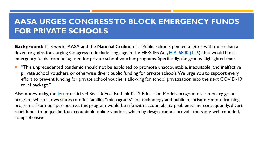## **AASA URG[ES C](https://static1.squarespace.com/static/582f7c15f7e0ab3a3c7fb141/t/5ed69842406e626516a48c5d/1591121988321/2020-05-20+NCPE+Support+Voucher+Language+in+HEROES+Act+FINAL.pdf)ONGRESS TO BLOCK EM FOR PRIVATE SCHOOLS**

**Background:** This week, AASA and the National Coalition for Public schools and than a letter with more than a letter with more than a letter with more than a letter with more than a letter with more than a letter with mor dozen organizations urging Congress to include language in the HEROES Act, emergency funds from being used for private school voucher programs. Speci

"This unprecedented pandemic should not be exploited to promote unac private school vouchers or otherwise divert public funding for private sch effort to prevent funding for private school vouchers allowing for school privation into the next COVID-19 relief package."

Also noteworthy, the letter criticized Sec. DeVos' Rethink K-12 Education Mo program, which allows states to offer families "microgrants" for technology and private remote  $p$ programs. From our perspective, this program would be rife with accountabil relief funds to unqualified, unaccountable online vendors, which by design, car comprehensive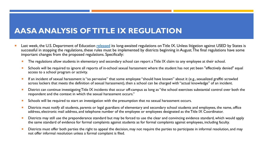#### **AASA ANALYSIS OF TITLE IX REGULATI**

- Last week, the U.S. Department of Education released its long-awaited regulations on Tit successful in stopping the regulations, these rules must be implemented by districts begin important changes from the proposed regulations. Specifically:
	- The regulations allow students in elementary and secondary school can report a Title IX on
	- Schools will be required to ignore all reports of in-school sexual harassment where the st access to a school program or activity.
	- **If an incident of sexual harassment is "so pervasive" that some employee "should have known** across lockers that meets the definition of sexual harassment), then a school can be charge
	- $\blacksquare$  District can continue investigating Title IX incidents that occur off-campus as long as "the standard District respondent and the context in which the sexual harassment occurs."
	- **EXT** Schools will be required to start an investigation with the presumption that no sexual hara
	- **Districts must notify all students, parents or legal guardians of elementary and secondary** s address, electronic mail address, and telephone number of the employee or employees dest
	- **Districts may still use the preponderance standard but may be forced to use the clear and convincing evidence standard** the same standard of evidence for formal complaints against students as for formal complaints against studing faculty.
	- Districts must offer both parties the right to appeal the decision, may not require the part not offer informal resolution unless a formal complaint is filed.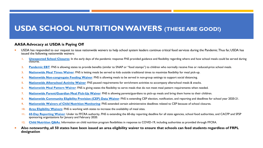#### **U[SDA SCHOOL NUTRITION](https://www.fns.usda.gov/cn/covid-19-cep-deadlines-waiver) WAIVERS (THESE ARE GOOD!)**

#### **AA[SA Advocacy at USDA is](https://www.fns.usda.gov/cn/nationwide-waiver-60-day-reporting-requirements) Paying Off**

- USDA has responded to our request to issue nationwide waivers to help school system leaders continue critic i[ssued the following nationwid](https://www.fns.usda.gov/covid-19/questions-answers-related-covid-19)e waivers:
	- **1. Unexpected School Closures**: In the early days of the pandemic response FNS provided guidance and flexibilit<br>closures.
	- **2. Pandemic EBT**: FNS is allowing states to provide benefits (similar to SNAP or "food stamps") to children who i
	- **3. Nationwide Meal Times Waiver**: FNS is letting meals be served to kids outside traditional times to maximize
	- **4. Nationwide Non-congregate Feeding Waiver**: FNS is allowing meals to be served in non-group settings to set
	- **5. Nationwide Afterschool Activity Waiver**: FNS paused requirements for enrichment activities to accompany
	- **6. Nationwide Meal Pattern Waiver**: FNS is giving states the flexibility to serve meals that do not meet meal pattern requirements when need need need need pattern **Waivers when the needed of the needed**.
	- **7. Nationwide Parent/Guardian Meal Pick-Up Waiver**: FNS is allowing parents/guardians to pick-up meals and **bring the meals**
	- **8. Nationwide Community Eligibility Provision (CEP) Data Waiver**: FNS is extending CEP election, notification
	- **9. Nationwide Waivers of Child Nutrition Monitoring**: FNS extended certain administrative deadlines related
	- **10. Area Eligibility Waivers**: FNS is working with states to increase the availability of meal sites.
	- **11. 60-Day Reporting Waiver**: Under its FFCRA authority, FNS is extending the 60-day reporting deadline for all s sponsoring organizations for January and February 2020.
	- **12.** Child Nutrition Q&As: Information on child nutrition program flexibilities in response to COVID-19, including
- Also noteworthy, all 50 states have been issued an area eligibility waiver to ensure that sc **designation**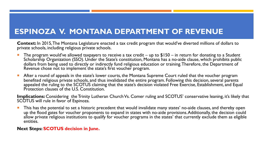#### **ESPINOZA V. MONTANA DEPARTMENT OF REVENUE**

**Context:** In 2015, The Montana Legislature enacted a tax credit program that would've diverted millions of dollars to private schools, including religious private schools.

- The program would've allowed taxpayers to receive a tax credit up to  $$150 in$  return for donating to a Student Scholarship Organization (SSO). Under the State's constitution, Montana has a no-aide clause, which prohibits public dollars from being used to directly or indirectly fund religious education or training. Therefore, the Department of Revenue chose not to implement the state's first voucher program.
- After a round of appeals in the state's lower courts, the Montana Supreme Court ruled that the voucher program benefited religious private schools, and thus invalidated the entire program. Following this decision, several parents appealed the ruling to the SCOTUS claiming that the state's decision violated Free Exercise, Establishment, and Equal Protection clauses of the U.S. Constitution.

**Implications:** Considering the Trinity Lutheran Church Vs. Comer ruling and SCOTUS' conservative leaning, it's likely that SCOTUS will rule in favor of Espinoza.

This has the potential to set a historic precedent that would invalidate many states' no-aide clauses, and thereby open up the flood gates for voucher proponents to expand in states with no-aide provisions. Additionally, the decision could allow private religious institutions to qualify for voucher programs in the states' that currently exclude them as eligible entities.

#### **Next Steps: SCOTUS decision in June.**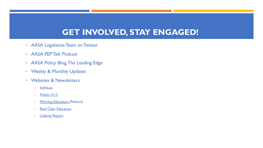# **[GE](http://www.politico.com/tipsheets/morning-education)T INVOLVED, STAY ENG**

- A[ASA Legislative](http://cabinetreport.com/) Team on Twitter
- AASA PEP Talk Podcast
- AASA Policy Blog, The Leading Edge
- Weekly & Monthly Updates
- Websites & Newsletters
	- EdWeek
	- Politics K12
	- Morning Education (Politico)
	- Real Clear Education
	- **Cabinet Report**